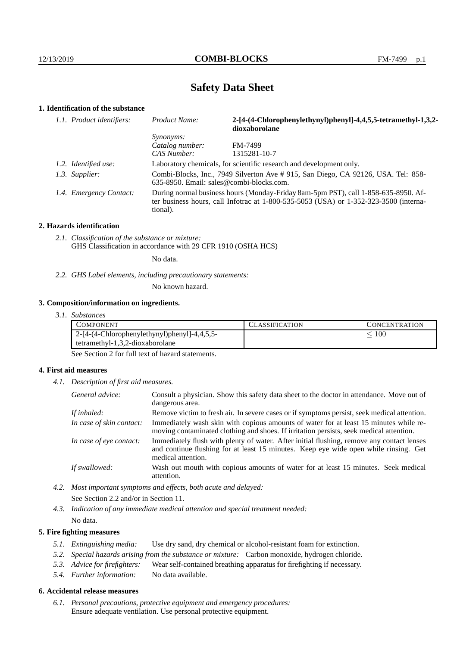# **Safety Data Sheet**

## **1. Identification of the substance**

| 1.1. Product identifiers: | Product Name:                                                                                                                                                                           | 2-[4-(4-Chlorophenylethynyl)phenyl]-4,4,5,5-tetramethyl-1,3,2-<br>dioxaborolane |
|---------------------------|-----------------------------------------------------------------------------------------------------------------------------------------------------------------------------------------|---------------------------------------------------------------------------------|
|                           | <i>Synonyms:</i>                                                                                                                                                                        |                                                                                 |
|                           | Catalog number:                                                                                                                                                                         | <b>FM-7499</b>                                                                  |
|                           | CAS Number:                                                                                                                                                                             | 1315281-10-7                                                                    |
| 1.2. Identified use:      | Laboratory chemicals, for scientific research and development only.                                                                                                                     |                                                                                 |
| 1.3. Supplier:            | Combi-Blocks, Inc., 7949 Silverton Ave # 915, San Diego, CA 92126, USA. Tel: 858-<br>$635-8950$ . Email: sales@combi-blocks.com.                                                        |                                                                                 |
| 1.4. Emergency Contact:   | During normal business hours (Monday-Friday 8am-5pm PST), call 1-858-635-8950. Af-<br>ter business hours, call Infotrac at 1-800-535-5053 (USA) or 1-352-323-3500 (interna-<br>tional). |                                                                                 |

#### **2. Hazards identification**

*2.1. Classification of the substance or mixture:* GHS Classification in accordance with 29 CFR 1910 (OSHA HCS)

No data.

*2.2. GHS Label elements, including precautionary statements:*

No known hazard.

### **3. Composition/information on ingredients.**

*3.1. Substances*

| COMPONENT                                    | '.`LASSIFICATION | <b>CONCENTRATION</b> |
|----------------------------------------------|------------------|----------------------|
| 2-[4-(4-Chlorophenylethynyl)phenyl]-4,4,5,5- |                  | 100                  |
| $tetramethyl-1,3,2-dioxaborolane$            |                  |                      |

See Section 2 for full text of hazard statements.

## **4. First aid measures**

*4.1. Description of first aid measures.*

| General advice:          | Consult a physician. Show this safety data sheet to the doctor in attendance. Move out of<br>dangerous area.                                                                                            |  |
|--------------------------|---------------------------------------------------------------------------------------------------------------------------------------------------------------------------------------------------------|--|
| If inhaled:              | Remove victim to fresh air. In severe cases or if symptoms persist, seek medical attention.                                                                                                             |  |
| In case of skin contact: | Immediately wash skin with copious amounts of water for at least 15 minutes while re-<br>moving contaminated clothing and shoes. If irritation persists, seek medical attention.                        |  |
| In case of eye contact:  | Immediately flush with plenty of water. After initial flushing, remove any contact lenses<br>and continue flushing for at least 15 minutes. Keep eye wide open while rinsing. Get<br>medical attention. |  |
| If swallowed:            | Wash out mouth with copious amounts of water for at least 15 minutes. Seek medical<br>attention.                                                                                                        |  |

*4.2. Most important symptoms and effects, both acute and delayed:* See Section 2.2 and/or in Section 11.

*4.3. Indication of any immediate medical attention and special treatment needed:* No data.

## **5. Fire fighting measures**

- *5.1. Extinguishing media:* Use dry sand, dry chemical or alcohol-resistant foam for extinction.
- *5.2. Special hazards arising from the substance or mixture:* Carbon monoxide, hydrogen chloride.
- *5.3. Advice for firefighters:* Wear self-contained breathing apparatus for firefighting if necessary.
- *5.4. Further information:* No data available.

## **6. Accidental release measures**

*6.1. Personal precautions, protective equipment and emergency procedures:* Ensure adequate ventilation. Use personal protective equipment.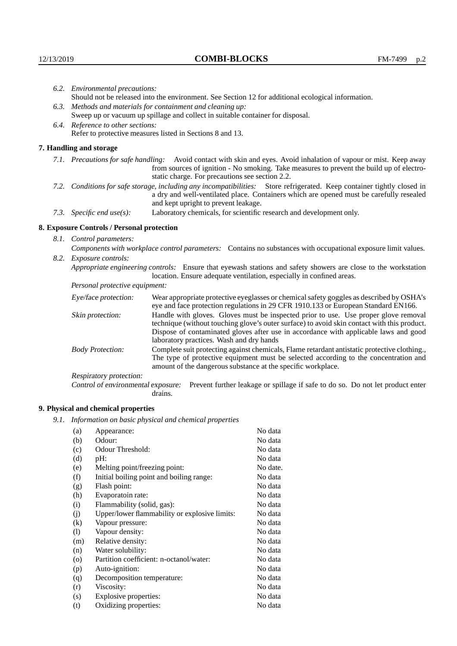|                                                                                                                         | 6.2. Environmental precautions:                                                                                                                                                        |                                                                                                                                                                                                                                                                            |  |  |  |
|-------------------------------------------------------------------------------------------------------------------------|----------------------------------------------------------------------------------------------------------------------------------------------------------------------------------------|----------------------------------------------------------------------------------------------------------------------------------------------------------------------------------------------------------------------------------------------------------------------------|--|--|--|
|                                                                                                                         | Should not be released into the environment. See Section 12 for additional ecological information.                                                                                     |                                                                                                                                                                                                                                                                            |  |  |  |
|                                                                                                                         |                                                                                                                                                                                        | 6.3. Methods and materials for containment and cleaning up:                                                                                                                                                                                                                |  |  |  |
|                                                                                                                         | Sweep up or vacuum up spillage and collect in suitable container for disposal.                                                                                                         |                                                                                                                                                                                                                                                                            |  |  |  |
|                                                                                                                         | 6.4. Reference to other sections:                                                                                                                                                      |                                                                                                                                                                                                                                                                            |  |  |  |
|                                                                                                                         |                                                                                                                                                                                        | Refer to protective measures listed in Sections 8 and 13.                                                                                                                                                                                                                  |  |  |  |
|                                                                                                                         | 7. Handling and storage                                                                                                                                                                |                                                                                                                                                                                                                                                                            |  |  |  |
|                                                                                                                         |                                                                                                                                                                                        | 7.1. Precautions for safe handling: Avoid contact with skin and eyes. Avoid inhalation of vapour or mist. Keep away<br>from sources of ignition - No smoking. Take measures to prevent the build up of electro-<br>static charge. For precautions see section 2.2.         |  |  |  |
| 7.2. Conditions for safe storage, including any incompatibilities: Store refrigerated. Keep container tightly closed in |                                                                                                                                                                                        | a dry and well-ventilated place. Containers which are opened must be carefully resealed<br>and kept upright to prevent leakage.                                                                                                                                            |  |  |  |
|                                                                                                                         | 7.3. Specific end $use(s)$ :                                                                                                                                                           | Laboratory chemicals, for scientific research and development only.                                                                                                                                                                                                        |  |  |  |
|                                                                                                                         | 8. Exposure Controls / Personal protection                                                                                                                                             |                                                                                                                                                                                                                                                                            |  |  |  |
|                                                                                                                         | 8.1. Control parameters:                                                                                                                                                               |                                                                                                                                                                                                                                                                            |  |  |  |
|                                                                                                                         |                                                                                                                                                                                        | Components with workplace control parameters: Contains no substances with occupational exposure limit values.                                                                                                                                                              |  |  |  |
|                                                                                                                         | 8.2. Exposure controls:                                                                                                                                                                |                                                                                                                                                                                                                                                                            |  |  |  |
|                                                                                                                         | Appropriate engineering controls: Ensure that eyewash stations and safety showers are close to the workstation<br>location. Ensure adequate ventilation, especially in confined areas. |                                                                                                                                                                                                                                                                            |  |  |  |
|                                                                                                                         | Personal protective equipment:                                                                                                                                                         |                                                                                                                                                                                                                                                                            |  |  |  |
|                                                                                                                         | Eye/face protection:                                                                                                                                                                   | Wear appropriate protective eyeglasses or chemical safety goggles as described by OSHA's<br>eye and face protection regulations in 29 CFR 1910.133 or European Standard EN166.                                                                                             |  |  |  |
|                                                                                                                         | Skin protection:                                                                                                                                                                       | Handle with gloves. Gloves must be inspected prior to use. Use proper glove removal<br>technique (without touching glove's outer surface) to avoid skin contact with this product.<br>Dispose of contaminated gloves after use in accordance with applicable laws and good |  |  |  |

laboratory practices. Wash and dry hands Body Protection: Complete suit protecting against chemicals, Flame retardant antistatic protective clothing., The type of protective equipment must be selected according to the concentration and amount of the dangerous substance at the specific workplace.

Respiratory protection:

Control of environmental exposure: Prevent further leakage or spillage if safe to do so. Do not let product enter drains.

# **9. Physical and chemical properties**

*9.1. Information on basic physical and chemical properties*

| (a)                        | Appearance:                                   | No data  |
|----------------------------|-----------------------------------------------|----------|
| (b)                        | Odour:                                        | No data  |
| (c)                        | Odour Threshold:                              | No data  |
| (d)                        | pH:                                           | No data  |
| (e)                        | Melting point/freezing point:                 | No date. |
| (f)                        | Initial boiling point and boiling range:      | No data  |
| (g)                        | Flash point:                                  | No data  |
| (h)                        | Evaporatoin rate:                             | No data  |
| (i)                        | Flammability (solid, gas):                    | No data  |
| (j)                        | Upper/lower flammability or explosive limits: | No data  |
| $\rm(k)$                   | Vapour pressure:                              | No data  |
| $\left( \mathrm{l}\right)$ | Vapour density:                               | No data  |
| (m)                        | Relative density:                             | No data  |
| (n)                        | Water solubility:                             | No data  |
| $\circ$                    | Partition coefficient: n-octanol/water:       | No data  |
| (p)                        | Auto-ignition:                                | No data  |
| (q)                        | Decomposition temperature:                    | No data  |
| (r)                        | Viscosity:                                    | No data  |
| (s)                        | Explosive properties:                         | No data  |
| (t)                        | Oxidizing properties:                         | No data  |